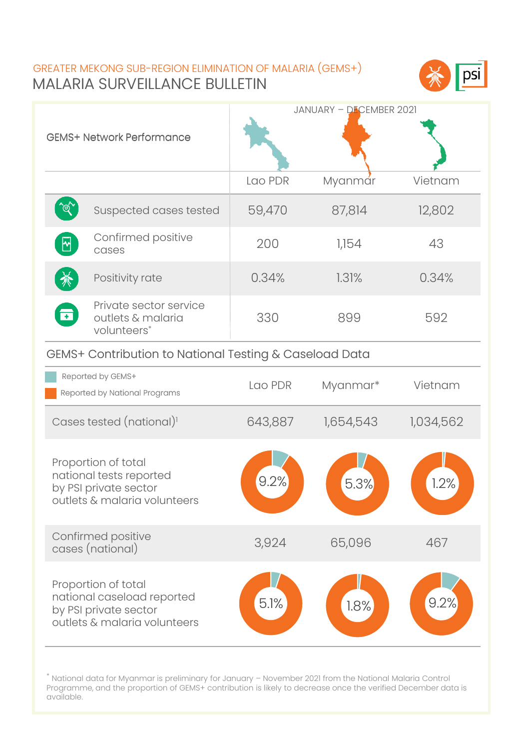## MALARIA SURVEILLANCE BULLETIN GREATER MEKONG SUB-REGION ELIMINATION OF MALARIA (GEMS+)



| <b>GEMS+ Network Performance</b>                                                                           |         | JANUARY - DECEMBER 2021 |           |  |  |
|------------------------------------------------------------------------------------------------------------|---------|-------------------------|-----------|--|--|
|                                                                                                            | Lao PDR | Myanmár                 | Vietnam   |  |  |
| `@<br>Suspected cases tested                                                                               | 59,470  | 87,814                  | 12,802    |  |  |
| Confirmed positive<br>cases                                                                                | 200     | 1,154                   | 43        |  |  |
| Positivity rate                                                                                            | 0.34%   | 1.31%                   | 0.34%     |  |  |
| Private sector service<br>ਰ<br>outlets & malaria<br>volunteers*                                            | 330     | 899                     | 592       |  |  |
| GEMS+ Contribution to National Testing & Caseload Data                                                     |         |                         |           |  |  |
| Reported by GEMS+<br>Reported by National Programs                                                         | Lao PDR | Myanmar*                | Vietnam   |  |  |
| Cases tested (national) <sup>1</sup>                                                                       | 643,887 | 1,654,543               | 1,034,562 |  |  |
| Proportion of total<br>national tests reported<br>by PSI private sector<br>outlets & malaria volunteers    | 9.2%    | 5.3%                    | 1.2%      |  |  |
| Confirmed positive<br>cases (national)                                                                     | 3,924   | 65,096                  | 467       |  |  |
| Proportion of total<br>national caseload reported<br>by PSI private sector<br>outlets & malaria volunteers | 5.1%    | 1.8%                    | 9.2%      |  |  |

<sup>\*</sup> National data for Myanmar is preliminary for January – November 2021 from the National Malaria Control Programme, and the proportion of GEMS+ contribution is likely to decrease once the verified December data is available.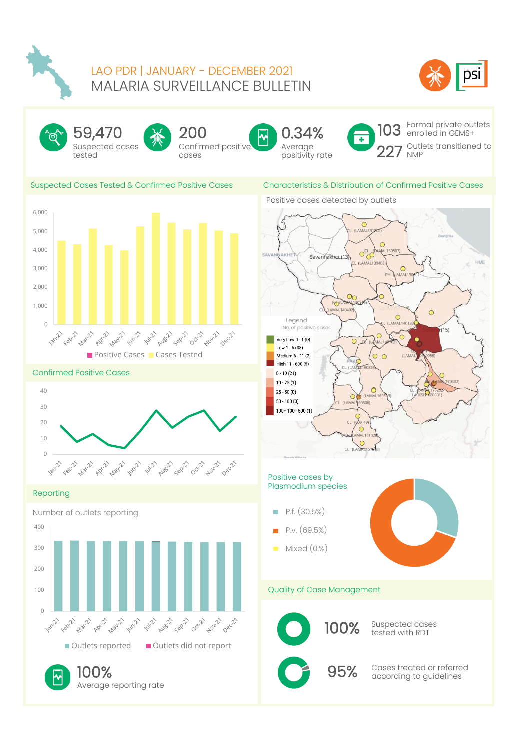

### MALARIA SURVEILLANCE BULLETIN LAO PDR | JANUARY - DECEMBER 2021









Confirmed positive cases



서



Formal private outlets enrolled in GEMS+ Outlets transitioned to NMP

#### Suspected Cases Tested & Confirmed Positive Cases Characteristics & Distribution of Confirmed



#### Confirmed Positive Cases



#### Reporting

Number of outlets reporting



Average reporting rate

### Characteristics & Distribution of Confirmed Positive Cases

Positive cases detected by outlets



#### Positive cases by Plasmodium species

- P.f. (30.5%) m.
- P.v. (69.5%)
- Mixed (0.%) **CONTRACT**



#### Quality of Case Management



100% Suspected cases

100% Cases treated or referred  $\sim$  95% Cases treated or referred  $\sim$  95% according to guidelines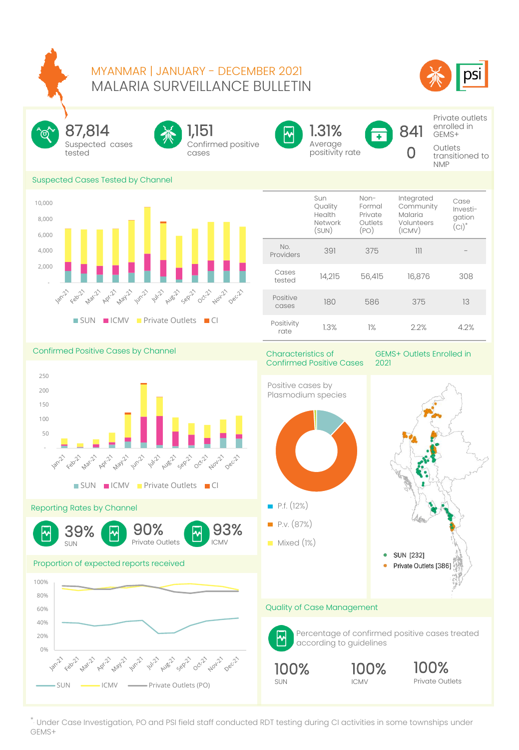### MALARIA SURVEILLANCE BULLETIN MYANMAR | JANUARY - DECEMBER 2021





Suspected cases tested 87,814

Confirmed positive cases 1,151



Average positivity rate 1.31%

841  $\Gamma$ 

Private outlets enrolled in GEMS+

**Outlets** transitioned to NMP

#### Suspected Cases Tested by Channel



|                    | Sun<br>Quality<br>Health<br>Network<br>(SUN) | Non-<br>Formal<br>Private<br>Outlets<br>(PO) | Integrated<br>Community<br>Malaria<br>Volunteers<br>(ICMV) | Case<br>Investi-<br>gation<br>$(CI)^*$ |
|--------------------|----------------------------------------------|----------------------------------------------|------------------------------------------------------------|----------------------------------------|
| No.<br>Providers   | 391                                          | 375                                          | 111                                                        |                                        |
| Cases<br>tested    | 14,215                                       | 56,415                                       | 16,876                                                     | 308                                    |
| Positive<br>cases  | 180                                          | 586                                          | 375                                                        | 13                                     |
| Positivity<br>rate | 1.3%                                         | $1\%$                                        | 22%                                                        | 42%                                    |

Confirmed Positive Cases by Channel



Reporting Rates by Channel



#### Proportion of expected reports received



Characteristics of Confirmed Positive Cases

GEMS+ Outlets Enrolled in 2021

Private Outlets



ICMV

\*. Under Case Investigation, PO and PSI field staff conducted RDT testing during CI activities in some townships under GEMS+

CMV 93%

SUN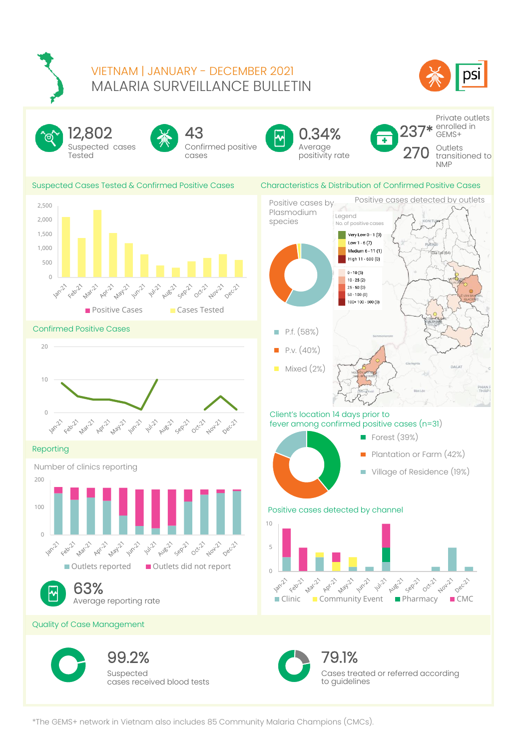

## MALARIA SURVEILLANCE BULLETIN VIETNAM | JANUARY - DECEMBER 2021





\*The GEMS+ network in Vietnam also includes 85 Community Malaria Champions (CMCs).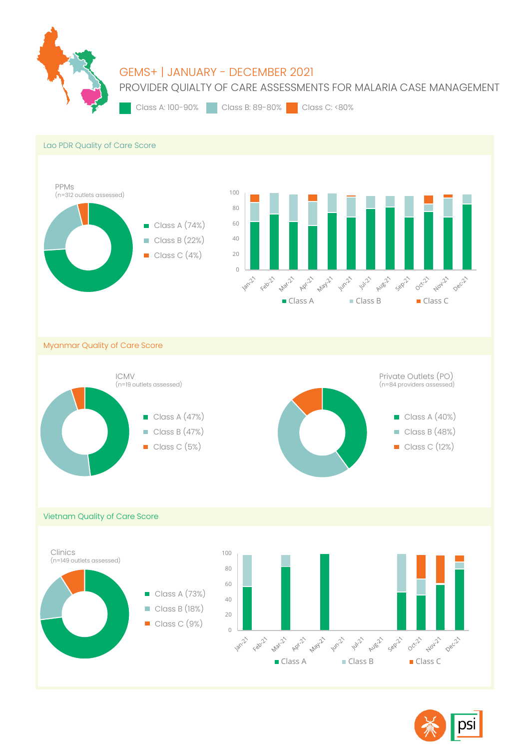

# GEMS+ | JANUARY - DECEMBER 2021

PROVIDER QUIALTY OF CARE ASSESSMENTS FOR MALARIA CASE MANAGEMENT

Class A: 100-90% Class B: 89-80% Class C: <80%





Myanmar Quality of Care Score



Vietnam Quality of Care Score

Clinics